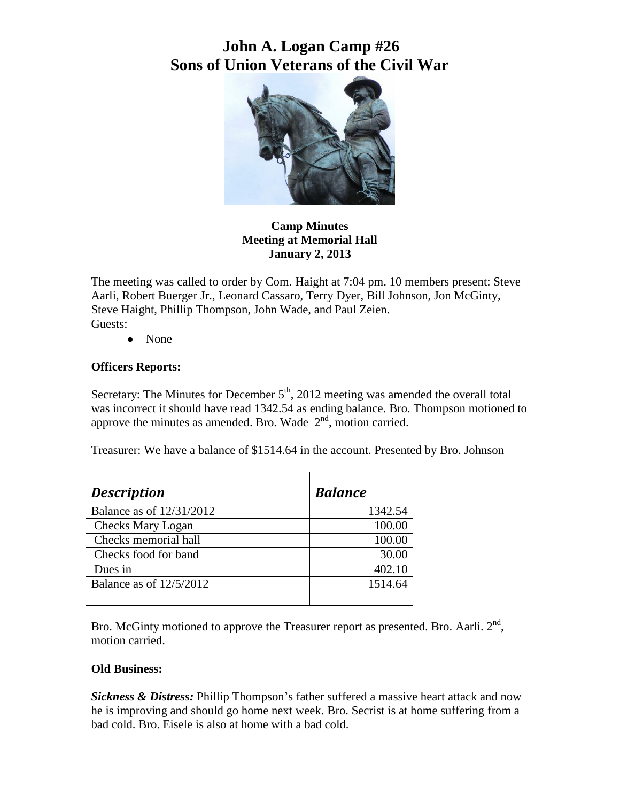# **John A. Logan Camp #26 Sons of Union Veterans of the Civil War**



**Camp Minutes Meeting at Memorial Hall January 2, 2013**

The meeting was called to order by Com. Haight at 7:04 pm. 10 members present: Steve Aarli, Robert Buerger Jr., Leonard Cassaro, Terry Dyer, Bill Johnson, Jon McGinty, Steve Haight, Phillip Thompson, John Wade, and Paul Zeien. Guests:

• None

## **Officers Reports:**

Secretary: The Minutes for December  $5<sup>th</sup>$ , 2012 meeting was amended the overall total was incorrect it should have read 1342.54 as ending balance. Bro. Thompson motioned to approve the minutes as amended. Bro. Wade  $2<sup>nd</sup>$ , motion carried.

Treasurer: We have a balance of \$1514.64 in the account. Presented by Bro. Johnson

| <b>Description</b>        | <b>Balance</b> |
|---------------------------|----------------|
| Balance as of 12/31/2012  | 1342.54        |
| <b>Checks Mary Logan</b>  | 100.00         |
| Checks memorial hall      | 100.00         |
| Checks food for band      | 30.00          |
| Dues in                   | 402.10         |
| Balance as of $12/5/2012$ | 1514.64        |
|                           |                |

Bro. McGinty motioned to approve the Treasurer report as presented. Bro. Aarli.  $2<sup>nd</sup>$ , motion carried.

### **Old Business:**

*Sickness & Distress:* Phillip Thompson's father suffered a massive heart attack and now he is improving and should go home next week. Bro. Secrist is at home suffering from a bad cold. Bro. Eisele is also at home with a bad cold.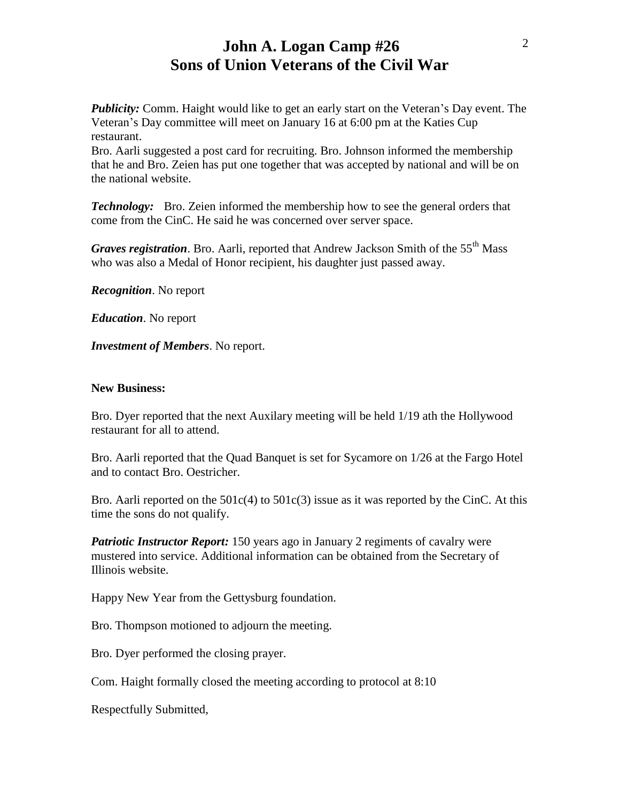## **John A. Logan Camp #26 Sons of Union Veterans of the Civil War**

*Publicity:* Comm. Haight would like to get an early start on the Veteran's Day event. The Veteran's Day committee will meet on January 16 at 6:00 pm at the Katies Cup restaurant.

Bro. Aarli suggested a post card for recruiting. Bro. Johnson informed the membership that he and Bro. Zeien has put one together that was accepted by national and will be on the national website.

*Technology:* Bro. Zeien informed the membership how to see the general orders that come from the CinC. He said he was concerned over server space.

*Graves registration*. Bro. Aarli, reported that Andrew Jackson Smith of the 55<sup>th</sup> Mass who was also a Medal of Honor recipient, his daughter just passed away.

*Recognition*. No report

*Education*. No report

*Investment of Members*. No report.

#### **New Business:**

Bro. Dyer reported that the next Auxilary meeting will be held 1/19 ath the Hollywood restaurant for all to attend.

Bro. Aarli reported that the Quad Banquet is set for Sycamore on 1/26 at the Fargo Hotel and to contact Bro. Oestricher.

Bro. Aarli reported on the  $501c(4)$  to  $501c(3)$  issue as it was reported by the CinC. At this time the sons do not qualify.

*Patriotic Instructor Report:* 150 years ago in January 2 regiments of cavalry were mustered into service. Additional information can be obtained from the Secretary of Illinois website.

Happy New Year from the Gettysburg foundation.

Bro. Thompson motioned to adjourn the meeting.

Bro. Dyer performed the closing prayer.

Com. Haight formally closed the meeting according to protocol at 8:10

Respectfully Submitted,